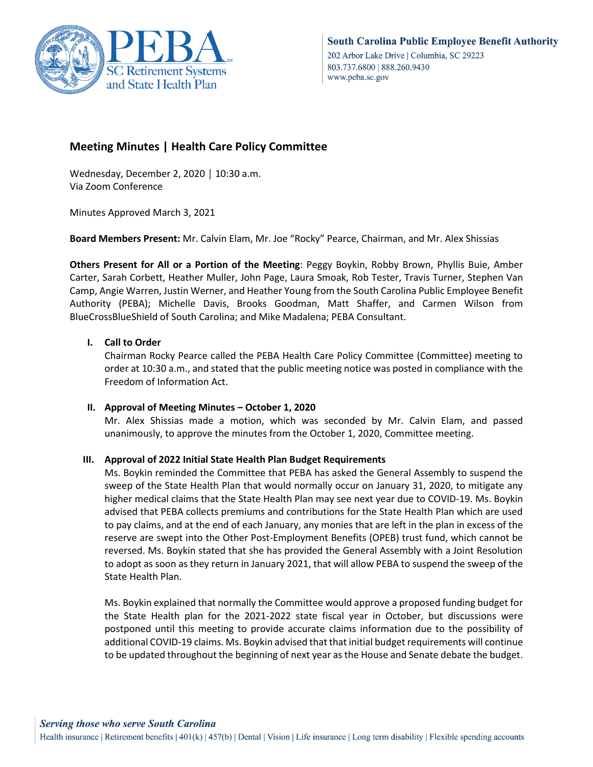

# **Meeting Minutes | Health Care Policy Committee**

Wednesday, December 2, 2020 │ 10:30 a.m. Via Zoom Conference

Minutes Approved March 3, 2021

**Board Members Present:** Mr. Calvin Elam, Mr. Joe "Rocky" Pearce, Chairman, and Mr. Alex Shissias

**Others Present for All or a Portion of the Meeting**: Peggy Boykin, Robby Brown, Phyllis Buie, Amber Carter, Sarah Corbett, Heather Muller, John Page, Laura Smoak, Rob Tester, Travis Turner, Stephen Van Camp, Angie Warren, Justin Werner, and Heather Young from the South Carolina Public Employee Benefit Authority (PEBA); Michelle Davis, Brooks Goodman, Matt Shaffer, and Carmen Wilson from BlueCrossBlueShield of South Carolina; and Mike Madalena; PEBA Consultant.

### **I. Call to Order**

Chairman Rocky Pearce called the PEBA Health Care Policy Committee (Committee) meeting to order at 10:30 a.m., and stated that the public meeting notice was posted in compliance with the Freedom of Information Act.

### **II. Approval of Meeting Minutes – October 1, 2020**

Mr. Alex Shissias made a motion, which was seconded by Mr. Calvin Elam, and passed unanimously, to approve the minutes from the October 1, 2020, Committee meeting.

### **III. Approval of 2022 Initial State Health Plan Budget Requirements**

Ms. Boykin reminded the Committee that PEBA has asked the General Assembly to suspend the sweep of the State Health Plan that would normally occur on January 31, 2020, to mitigate any higher medical claims that the State Health Plan may see next year due to COVID-19. Ms. Boykin advised that PEBA collects premiums and contributions for the State Health Plan which are used to pay claims, and at the end of each January, any monies that are left in the plan in excess of the reserve are swept into the Other Post-Employment Benefits (OPEB) trust fund, which cannot be reversed. Ms. Boykin stated that she has provided the General Assembly with a Joint Resolution to adopt as soon as they return in January 2021, that will allow PEBA to suspend the sweep of the State Health Plan.

Ms. Boykin explained that normally the Committee would approve a proposed funding budget for the State Health plan for the 2021-2022 state fiscal year in October, but discussions were postponed until this meeting to provide accurate claims information due to the possibility of additional COVID-19 claims. Ms. Boykin advised that that initial budget requirements will continue to be updated throughout the beginning of next year as the House and Senate debate the budget.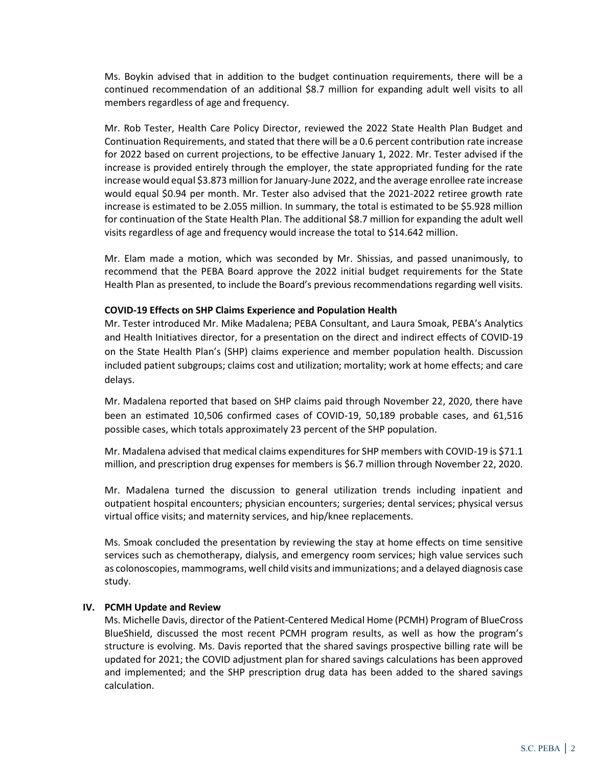Ms. Boykin advised that in addition to the budget continuation requirements, there will be a continued recommendation of an additional \$8.7 million for expanding adult well visits to all members regardless of age and frequency.

Mr. Rob Tester, Health Care Policy Director, reviewed the 2022 State Health Plan Budget and Continuation Requirements, and stated that there will be a 0.6 percent contribution rate increase for 2022 based on current projections, to be effective January 1, 2022. Mr. Tester advised if the increase is provided entirely through the employer, the state appropriated funding for the rate increase would equal \$3.873 million for January-June 2022, and the average enrollee rate increase would equal \$0.94 per month. Mr. Tester also advised that the 2021-2022 retiree growth rate increase is estimated to be 2.055 million. In summary, the total is estimated to be \$5.928 million for continuation of the State Health Plan. The additional \$8.7 million for expanding the adult well visits regardless of age and frequency would increase the total to \$14.642 million.

Mr. Elam made a motion, which was seconded by Mr. Shissias, and passed unanimously, to recommend that the PEBA Board approve the 2022 initial budget requirements for the State Health Plan as presented, to include the Board's previous recommendations regarding well visits.

#### **COVID-19 Effects on SHP Claims Experience and Population Health**

Mr. Tester introduced Mr. Mike Madalena; PEBA Consultant, and Laura Smoak, PEBA's Analytics and Health Initiatives director, for a presentation on the direct and indirect effects of COVID-19 on the State Health Plan's (SHP) claims experience and member population health. Discussion included patient subgroups; claims cost and utilization; mortality; work at home effects; and care delays.

Mr. Madalena reported that based on SHP claims paid through November 22, 2020, there have been an estimated 10,506 confirmed cases of COVID-19, 50,189 probable cases, and 61,516 possible cases, which totals approximately 23 percent of the SHP population.

Mr. Madalena advised that medical claims expenditures for SHP members with COVID-19 is \$71.1 million, and prescription drug expenses for members is \$6.7 million through November 22, 2020.

Mr. Madalena turned the discussion to general utilization trends including inpatient and outpatient hospital encounters; physician encounters; surgeries; dental services; physical versus virtual office visits; and maternity services, and hip/knee replacements.

Ms. Smoak concluded the presentation by reviewing the stay at home effects on time sensitive services such as chemotherapy, dialysis, and emergency room services; high value services such as colonoscopies, mammograms, well child visits and immunizations; and a delayed diagnosis case study.

### **IV. PCMH Update and Review**

Ms. Michelle Davis, director of the Patient-Centered Medical Home (PCMH) Program of BlueCross BlueShield, discussed the most recent PCMH program results, as well as how the program's structure is evolving. Ms. Davis reported that the shared savings prospective billing rate will be updated for 2021; the COVID adjustment plan for shared savings calculations has been approved and implemented; and the SHP prescription drug data has been added to the shared savings calculation.